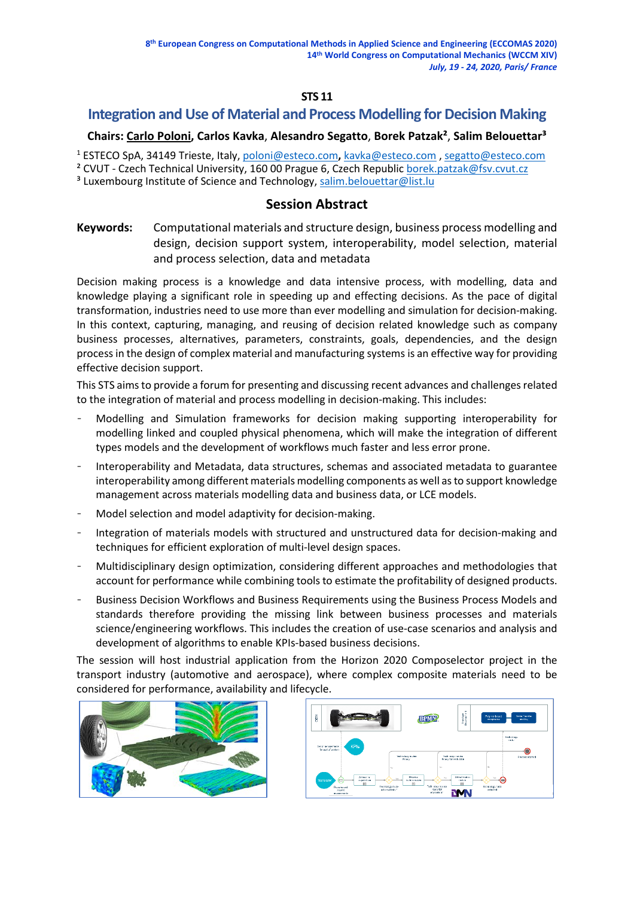### **STS 11**

# **Integration and Use of Material and Process Modelling for Decision Making**

## **Chairs: Carlo Poloni, Carlos Kavka**, **Alesandro Segatto**, **Borek Patzak²**, **Salim Belouettar³**

<sup>1</sup> ESTECO SpA, 34149 Trieste, Italy, [poloni@esteco.com](mailto:poloni@esteco.com)**,** [kavka@esteco.com](mailto:kavka@esteco.com) , [segatto@esteco.com](mailto:segatto@esteco.com)

<sup>2</sup> CVUT - Czech Technical University, 160 00 Prague 6, Czech Republic [borek.patzak@fsv.cvut.cz](mailto:borek.patzak@fsv.cvut.cz)

<sup>3</sup> Luxembourg Institute of Science and Technology, [salim.belouettar@list.lu](mailto:salim.belouettar@list.lu)

# **Session Abstract**

**Keywords:** Computational materials and structure design, business process modelling and design, decision support system, interoperability, model selection, material and process selection, data and metadata

Decision making process is a knowledge and data intensive process, with modelling, data and knowledge playing a significant role in speeding up and effecting decisions. As the pace of digital transformation, industries need to use more than ever modelling and simulation for decision-making. In this context, capturing, managing, and reusing of decision related knowledge such as company business processes, alternatives, parameters, constraints, goals, dependencies, and the design process in the design of complex material and manufacturing systems is an effective way for providing effective decision support.

This STS aims to provide a forum for presenting and discussing recent advances and challenges related to the integration of material and process modelling in decision-making. This includes:

- Modelling and Simulation frameworks for decision making supporting interoperability for modelling linked and coupled physical phenomena, which will make the integration of different types models and the development of workflows much faster and less error prone.
- Interoperability and Metadata, data structures, schemas and associated metadata to guarantee interoperability among different materials modelling components as well as to support knowledge management across materials modelling data and business data, or LCE models.
- Model selection and model adaptivity for decision-making.
- Integration of materials models with structured and unstructured data for decision-making and techniques for efficient exploration of multi-level design spaces.
- Multidisciplinary design optimization, considering different approaches and methodologies that account for performance while combining tools to estimate the profitability of designed products.
- Business Decision Workflows and Business Requirements using the Business Process Models and standards therefore providing the missing link between business processes and materials science/engineering workflows. This includes the creation of use-case scenarios and analysis and development of algorithms to enable KPIs-based business decisions.

The session will host industrial application from the Horizon 2020 Composelector project in the transport industry (automotive and aerospace), where complex composite materials need to be considered for performance, availability and lifecycle.